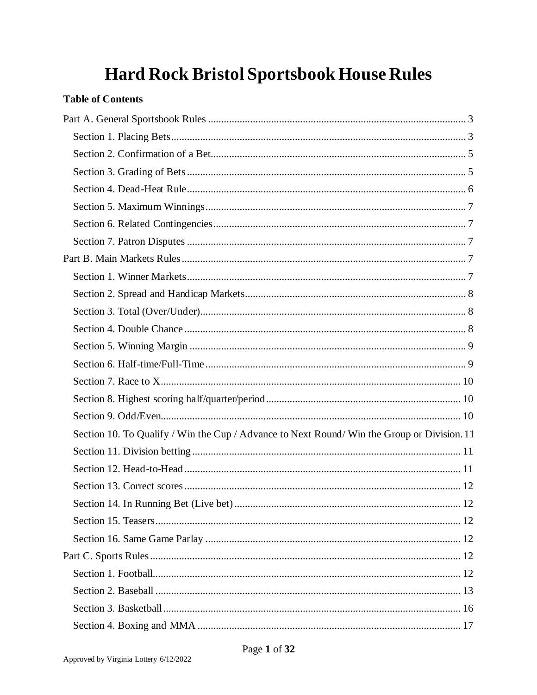# **Hard Rock Bristol Sportsbook House Rules**

# **Table of Contents**

| Section 10. To Qualify / Win the Cup / Advance to Next Round/ Win the Group or Division. 11 |  |
|---------------------------------------------------------------------------------------------|--|
|                                                                                             |  |
|                                                                                             |  |
|                                                                                             |  |
|                                                                                             |  |
|                                                                                             |  |
|                                                                                             |  |
|                                                                                             |  |
|                                                                                             |  |
|                                                                                             |  |
|                                                                                             |  |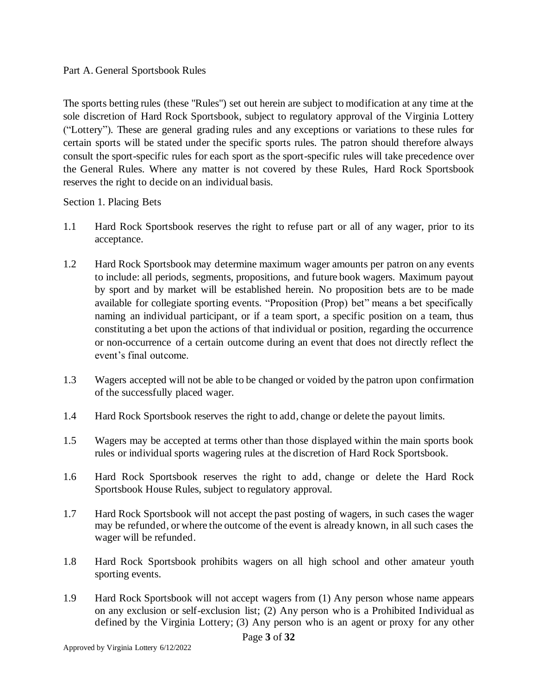#### <span id="page-2-0"></span>Part A. General Sportsbook Rules

The sports betting rules (these "Rules") set out herein are subject to modification at any time at the sole discretion of Hard Rock Sportsbook, subject to regulatory approval of the Virginia Lottery ("Lottery"). These are general grading rules and any exceptions or variations to these rules for certain sports will be stated under the specific sports rules. The patron should therefore always consult the sport-specific rules for each sport as the sport-specific rules will take precedence over the General Rules. Where any matter is not covered by these Rules, Hard Rock Sportsbook reserves the right to decide on an individual basis.

<span id="page-2-1"></span>Section 1. Placing Bets

- 1.1 Hard Rock Sportsbook reserves the right to refuse part or all of any wager, prior to its acceptance.
- 1.2 Hard Rock Sportsbook may determine maximum wager amounts per patron on any events to include: all periods, segments, propositions, and future book wagers. Maximum payout by sport and by market will be established herein. No proposition bets are to be made available for collegiate sporting events. "Proposition (Prop) bet" means a bet specifically naming an individual participant, or if a team sport, a specific position on a team, thus constituting a bet upon the actions of that individual or position, regarding the occurrence or non-occurrence of a certain outcome during an event that does not directly reflect the event's final outcome.
- 1.3 Wagers accepted will not be able to be changed or voided by the patron upon confirmation of the successfully placed wager.
- 1.4 Hard Rock Sportsbook reserves the right to add, change or delete the payout limits.
- 1.5 Wagers may be accepted at terms other than those displayed within the main sports book rules or individual sports wagering rules at the discretion of Hard Rock Sportsbook.
- 1.6 Hard Rock Sportsbook reserves the right to add, change or delete the Hard Rock Sportsbook House Rules, subject to regulatory approval.
- 1.7 Hard Rock Sportsbook will not accept the past posting of wagers, in such cases the wager may be refunded, or where the outcome of the event is already known, in all such cases the wager will be refunded.
- 1.8 Hard Rock Sportsbook prohibits wagers on all high school and other amateur youth sporting events.
- 1.9 Hard Rock Sportsbook will not accept wagers from (1) Any person whose name appears on any exclusion or self-exclusion list; (2) Any person who is a Prohibited Individual as defined by the Virginia Lottery; (3) Any person who is an agent or proxy for any other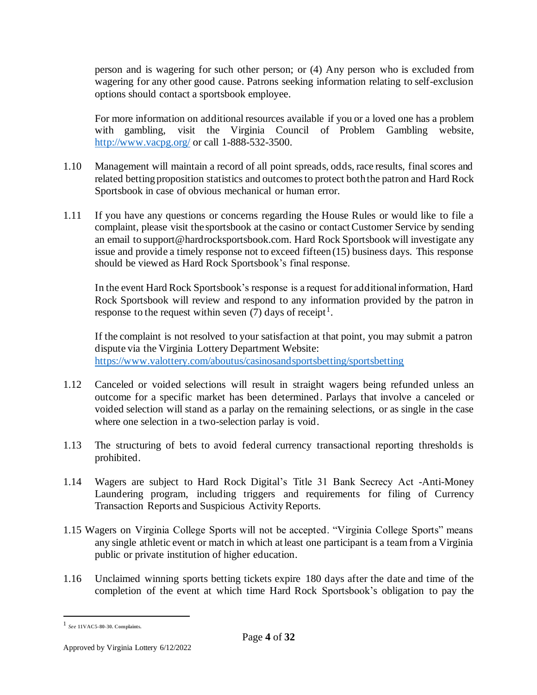person and is wagering for such other person; or (4) Any person who is excluded from wagering for any other good cause. Patrons seeking information relating to self-exclusion options should contact a sportsbook employee.

For more information on additional resources available if you or a loved one has a problem with gambling, visit the Virginia Council of Problem Gambling website, <http://www.vacpg.org/> or call 1-888-532-3500.

- 1.10 Management will maintain a record of all point spreads, odds, race results, final scores and related betting proposition statistics and outcomes to protect both the patron and Hard Rock Sportsbook in case of obvious mechanical or human error.
- 1.11 If you have any questions or concerns regarding the House Rules or would like to file a complaint, please visit the sportsbook at the casino or contact Customer Service by sending an email to support@hardrocksportsbook.com. Hard Rock Sportsbook will investigate any issue and provide a timely response not to exceed fifteen (15) business days. This response should be viewed as Hard Rock Sportsbook's final response.

In the event Hard Rock Sportsbook's response is a request for additional information, Hard Rock Sportsbook will review and respond to any information provided by the patron in response to the request within seven  $(7)$  days of receipt<sup>1</sup>.

If the complaint is not resolved to your satisfaction at that point, you may submit a patron dispute via the Virginia Lottery Department Website: <https://www.valottery.com/aboutus/casinosandsportsbetting/sportsbetting>

- 1.12 Canceled or voided selections will result in straight wagers being refunded unless an outcome for a specific market has been determined. Parlays that involve a canceled or voided selection will stand as a parlay on the remaining selections, or as single in the case where one selection in a two-selection parlay is void.
- 1.13 The structuring of bets to avoid federal currency transactional reporting thresholds is prohibited.
- 1.14 Wagers are subject to Hard Rock Digital's Title 31 Bank Secrecy Act -Anti-Money Laundering program, including triggers and requirements for filing of Currency Transaction Reports and Suspicious Activity Reports.
- 1.15 Wagers on Virginia College Sports will not be accepted. "Virginia College Sports" means any single athletic event or match in which at least one participant is a team from a Virginia public or private institution of higher education.
- 1.16 Unclaimed winning sports betting tickets expire 180 days after the date and time of the completion of the event at which time Hard Rock Sportsbook's obligation to pay the

<sup>1</sup> *See* **11VAC5-80-30. Complaints.**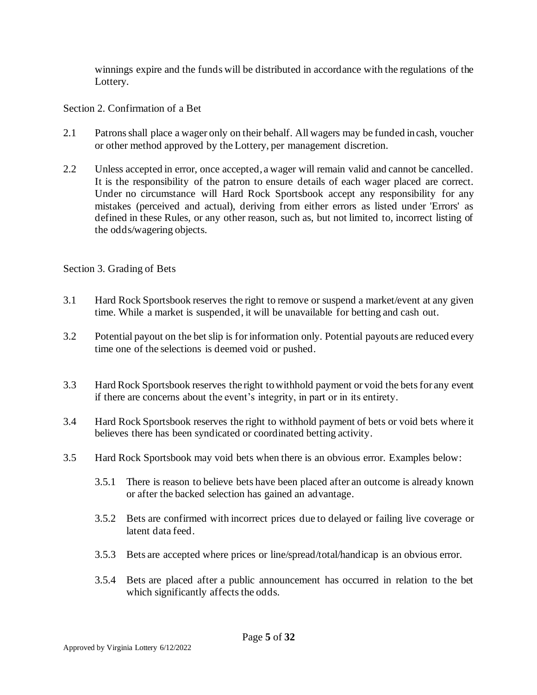winnings expire and the funds will be distributed in accordance with the regulations of the Lottery.

<span id="page-4-0"></span>Section 2. Confirmation of a Bet

- 2.1 Patrons shall place a wager only on their behalf. All wagers may be funded in cash, voucher or other method approved by the Lottery, per management discretion.
- 2.2 Unless accepted in error, once accepted, a wager will remain valid and cannot be cancelled. It is the responsibility of the patron to ensure details of each wager placed are correct. Under no circumstance will Hard Rock Sportsbook accept any responsibility for any mistakes (perceived and actual), deriving from either errors as listed under 'Errors' as defined in these Rules, or any other reason, such as, but not limited to, incorrect listing of the odds/wagering objects.

#### <span id="page-4-1"></span>Section 3. Grading of Bets

- 3.1 Hard Rock Sportsbook reserves the right to remove or suspend a market/event at any given time. While a market is suspended, it will be unavailable for betting and cash out.
- 3.2 Potential payout on the bet slip is for information only. Potential payouts are reduced every time one of the selections is deemed void or pushed.
- 3.3 Hard Rock Sportsbook reserves the right to withhold payment or void the bets for any event if there are concerns about the event's integrity, in part or in its entirety.
- 3.4 Hard Rock Sportsbook reserves the right to withhold payment of bets or void bets where it believes there has been syndicated or coordinated betting activity.
- 3.5 Hard Rock Sportsbook may void bets when there is an obvious error. Examples below:
	- 3.5.1 There is reason to believe bets have been placed after an outcome is already known or after the backed selection has gained an advantage.
	- 3.5.2 Bets are confirmed with incorrect prices due to delayed or failing live coverage or latent data feed.
	- 3.5.3 Bets are accepted where prices or line/spread/total/handicap is an obvious error.
	- 3.5.4 Bets are placed after a public announcement has occurred in relation to the bet which significantly affects the odds.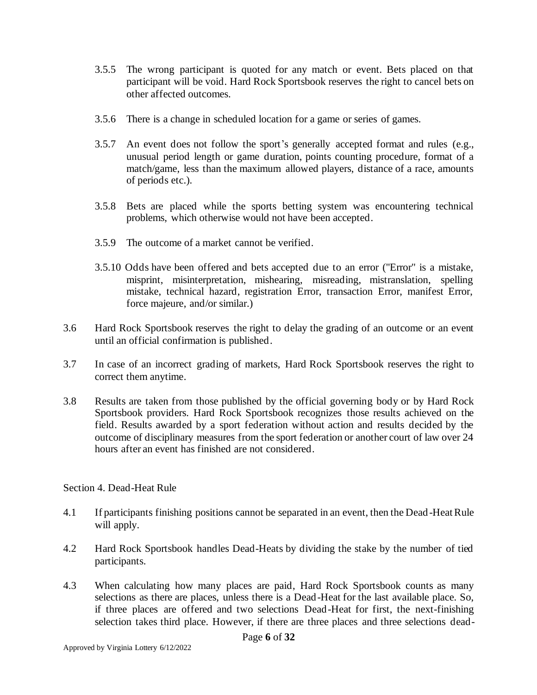- 3.5.5 The wrong participant is quoted for any match or event. Bets placed on that participant will be void. Hard Rock Sportsbook reserves the right to cancel bets on other affected outcomes.
- 3.5.6 There is a change in scheduled location for a game or series of games.
- 3.5.7 An event does not follow the sport's generally accepted format and rules (e.g., unusual period length or game duration, points counting procedure, format of a match/game, less than the maximum allowed players, distance of a race, amounts of periods etc.).
- 3.5.8 Bets are placed while the sports betting system was encountering technical problems, which otherwise would not have been accepted.
- 3.5.9 The outcome of a market cannot be verified.
- 3.5.10 Odds have been offered and bets accepted due to an error ("Error" is a mistake, misprint, misinterpretation, mishearing, misreading, mistranslation, spelling mistake, technical hazard, registration Error, transaction Error, manifest Error, force majeure, and/or similar.)
- 3.6 Hard Rock Sportsbook reserves the right to delay the grading of an outcome or an event until an official confirmation is published.
- 3.7 In case of an incorrect grading of markets, Hard Rock Sportsbook reserves the right to correct them anytime.
- 3.8 Results are taken from those published by the official governing body or by Hard Rock Sportsbook providers. Hard Rock Sportsbook recognizes those results achieved on the field. Results awarded by a sport federation without action and results decided by the outcome of disciplinary measures from the sport federation or another court of law over 24 hours after an event has finished are not considered.

# <span id="page-5-0"></span>Section 4. Dead-Heat Rule

- 4.1 If participants finishing positions cannot be separated in an event, then the Dead-Heat Rule will apply.
- 4.2 Hard Rock Sportsbook handles Dead-Heats by dividing the stake by the number of tied participants.
- 4.3 When calculating how many places are paid, Hard Rock Sportsbook counts as many selections as there are places, unless there is a Dead-Heat for the last available place. So, if three places are offered and two selections Dead-Heat for first, the next-finishing selection takes third place. However, if there are three places and three selections dead-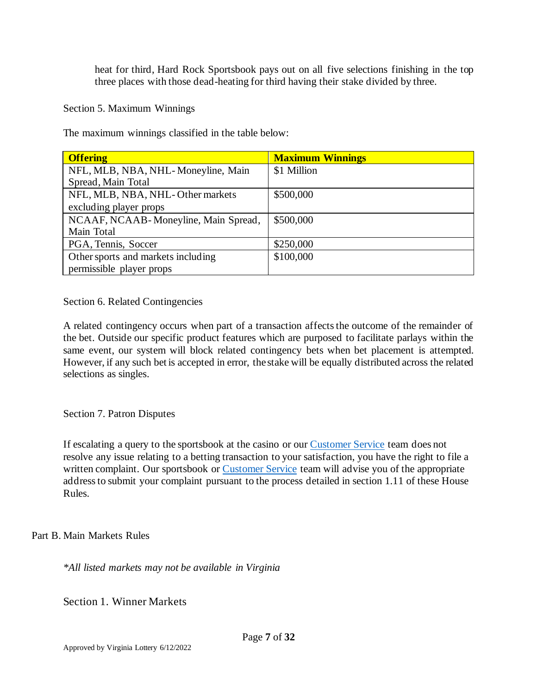heat for third, Hard Rock Sportsbook pays out on all five selections finishing in the top three places with those dead-heating for third having their stake divided by three.

<span id="page-6-0"></span>Section 5. Maximum Winnings

The maximum winnings classified in the table below:

| <b>Offering</b>                      | <b>Maximum Winnings</b> |
|--------------------------------------|-------------------------|
| NFL, MLB, NBA, NHL-Moneyline, Main   | \$1 Million             |
| Spread, Main Total                   |                         |
| NFL, MLB, NBA, NHL-Other markets     | \$500,000               |
| excluding player props               |                         |
| NCAAF, NCAAB-Moneyline, Main Spread, | \$500,000               |
| Main Total                           |                         |
| PGA, Tennis, Soccer                  | \$250,000               |
| Other sports and markets including   | \$100,000               |
| permissible player props             |                         |

<span id="page-6-1"></span>Section 6. Related Contingencies

A related contingency occurs when part of a transaction affects the outcome of the remainder of the bet. Outside our specific product features which are purposed to facilitate parlays within the same event, our system will block related contingency bets when bet placement is attempted. However, if any such bet is accepted in error, the stake will be equally distributed across the related selections as singles.

<span id="page-6-2"></span>Section 7. Patron Disputes

If escalating a query to the sportsbook at the casino or our [Customer Service](mailto:support@hardrocksportsbook.com) team does not resolve any issue relating to a betting transaction to your satisfaction, you have the right to file a written complaint. Our sportsbook or [Customer Service](mailto:support@hardrocksportsbook.com) team will advise you of the appropriate address to submit your complaint pursuant to the process detailed in section 1.11 of these House Rules.

<span id="page-6-3"></span>Part B. Main Markets Rules

*\*All listed markets may not be available in Virginia*

<span id="page-6-4"></span>Section 1. Winner Markets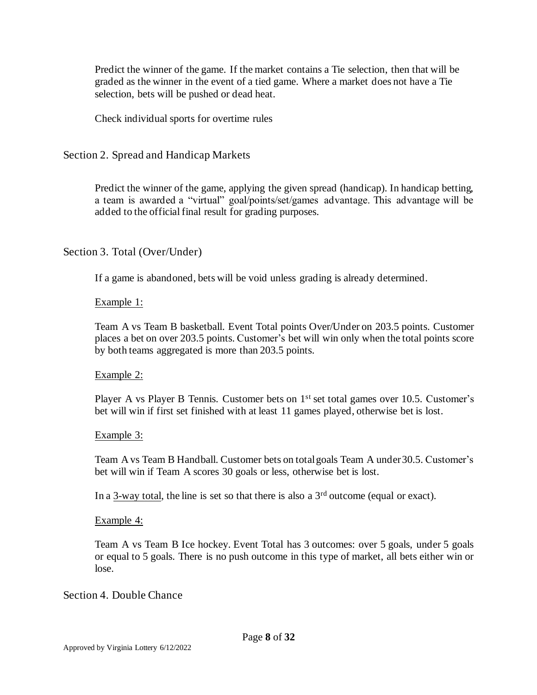Predict the winner of the game. If the market contains a Tie selection, then that will be graded as the winner in the event of a tied game. Where a market does not have a Tie selection, bets will be pushed or dead heat.

Check individual sports for overtime rules

<span id="page-7-0"></span>Section 2. Spread and Handicap Markets

Predict the winner of the game, applying the given spread (handicap). In handicap betting, a team is awarded a "virtual" goal/points/set/games advantage. This advantage will be added to the official final result for grading purposes.

# <span id="page-7-1"></span>Section 3. Total (Over/Under)

If a game is abandoned, bets will be void unless grading is already determined.

# Example 1:

Team A vs Team B basketball. Event Total points Over/Under on 203.5 points. Customer places a bet on over 203.5 points. Customer's bet will win only when the total points score by both teams aggregated is more than 203.5 points.

# Example 2:

Player A vs Player B Tennis. Customer bets on 1<sup>st</sup> set total games over 10.5. Customer's bet will win if first set finished with at least 11 games played, otherwise bet is lost.

#### Example 3:

Team A vs Team B Handball. Customer bets on total goals Team A under 30.5. Customer's bet will win if Team A scores 30 goals or less, otherwise bet is lost.

In a 3-way total, the line is set so that there is also a  $3<sup>rd</sup>$  outcome (equal or exact).

#### Example 4:

Team A vs Team B Ice hockey. Event Total has 3 outcomes: over 5 goals, under 5 goals or equal to 5 goals. There is no push outcome in this type of market, all bets either win or lose.

# <span id="page-7-2"></span>Section 4. Double Chance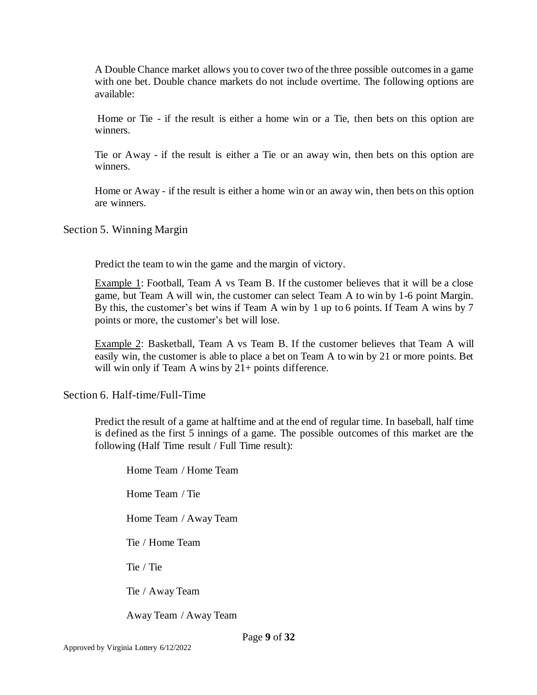A Double Chance market allows you to cover two of the three possible outcomes in a game with one bet. Double chance markets do not include overtime. The following options are available:

Home or Tie - if the result is either a home win or a Tie, then bets on this option are winners.

Tie or Away - if the result is either a Tie or an away win, then bets on this option are winners.

Home or Away - if the result is either a home win or an away win, then bets on this option are winners.

<span id="page-8-0"></span>Section 5. Winning Margin

Predict the team to win the game and the margin of victory.

Example 1: Football, Team A vs Team B. If the customer believes that it will be a close game, but Team A will win, the customer can select Team A to win by 1-6 point Margin. By this, the customer's bet wins if Team A win by 1 up to 6 points. If Team A wins by 7 points or more, the customer's bet will lose.

Example 2: Basketball, Team A vs Team B. If the customer believes that Team A will easily win, the customer is able to place a bet on Team A to win by 21 or more points. Bet will win only if Team A wins by  $21+$  points difference.

<span id="page-8-1"></span>Section 6. Half-time/Full-Time

Predict the result of a game at halftime and at the end of regular time. In baseball, half time is defined as the first 5 innings of a game. The possible outcomes of this market are the following (Half Time result / Full Time result):

Home Team / Home Team Home Team / Tie Home Team / Away Team Tie / Home Team Tie / Tie Tie / Away Team Away Team / Away Team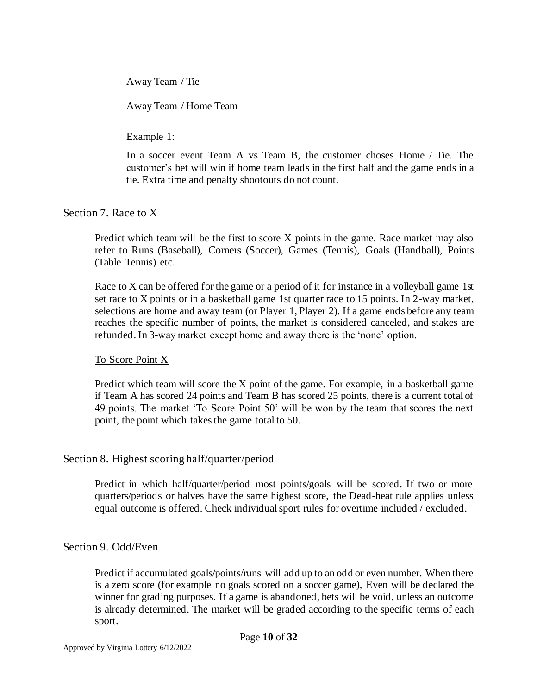Away Team / Tie

Away Team / Home Team

Example 1:

In a soccer event Team A vs Team B, the customer choses Home / Tie. The customer's bet will win if home team leads in the first half and the game ends in a tie. Extra time and penalty shootouts do not count.

<span id="page-9-0"></span>Section 7. Race to X

Predict which team will be the first to score X points in the game. Race market may also refer to Runs (Baseball), Corners (Soccer), Games (Tennis), Goals (Handball), Points (Table Tennis) etc.

Race to X can be offered for the game or a period of it for instance in a volleyball game 1st set race to X points or in a basketball game 1st quarter race to 15 points. In 2-way market, selections are home and away team (or Player 1, Player 2). If a game ends before any team reaches the specific number of points, the market is considered canceled, and stakes are refunded. In 3-way market except home and away there is the 'none' option.

To Score Point X

Predict which team will score the X point of the game. For example, in a basketball game if Team A has scored 24 points and Team B has scored 25 points, there is a current total of 49 points. The market 'To Score Point 50' will be won by the team that scores the next point, the point which takes the game total to 50.

#### <span id="page-9-1"></span>Section 8. Highest scoring half/quarter/period

Predict in which half/quarter/period most points/goals will be scored. If two or more quarters/periods or halves have the same highest score, the Dead-heat rule applies unless equal outcome is offered. Check individual sport rules for overtime included / excluded.

#### <span id="page-9-2"></span>Section 9. Odd/Even

Predict if accumulated goals/points/runs will add up to an odd or even number. When there is a zero score (for example no goals scored on a soccer game), Even will be declared the winner for grading purposes. If a game is abandoned, bets will be void, unless an outcome is already determined. The market will be graded according to the specific terms of each sport.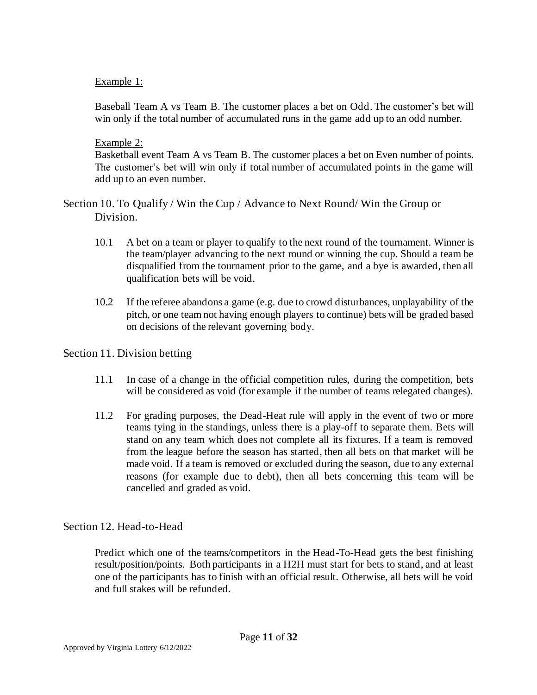## Example 1:

Baseball Team A vs Team B. The customer places a bet on Odd. The customer's bet will win only if the total number of accumulated runs in the game add up to an odd number.

#### Example 2:

Basketball event Team A vs Team B. The customer places a bet on Even number of points. The customer's bet will win only if total number of accumulated points in the game will add up to an even number.

<span id="page-10-0"></span>Section 10. To Qualify / Win the Cup / Advance to Next Round/ Win the Group or Division.

- 10.1 A bet on a team or player to qualify to the next round of the tournament. Winner is the team/player advancing to the next round or winning the cup. Should a team be disqualified from the tournament prior to the game, and a bye is awarded, then all qualification bets will be void.
- 10.2 If the referee abandons a game (e.g. due to crowd disturbances, unplayability of the pitch, or one team not having enough players to continue) bets will be graded based on decisions of the relevant governing body.

# <span id="page-10-1"></span>Section 11. Division betting

- 11.1 In case of a change in the official competition rules, during the competition, bets will be considered as void (for example if the number of teams relegated changes).
- 11.2 For grading purposes, the Dead-Heat rule will apply in the event of two or more teams tying in the standings, unless there is a play-off to separate them. Bets will stand on any team which does not complete all its fixtures. If a team is removed from the league before the season has started, then all bets on that market will be made void. If a team is removed or excluded during the season, due to any external reasons (for example due to debt), then all bets concerning this team will be cancelled and graded as void.

# <span id="page-10-2"></span>Section 12. Head-to-Head

Predict which one of the teams/competitors in the Head-To-Head gets the best finishing result/position/points. Both participants in a H2H must start for bets to stand, and at least one of the participants has to finish with an official result. Otherwise, all bets will be void and full stakes will be refunded.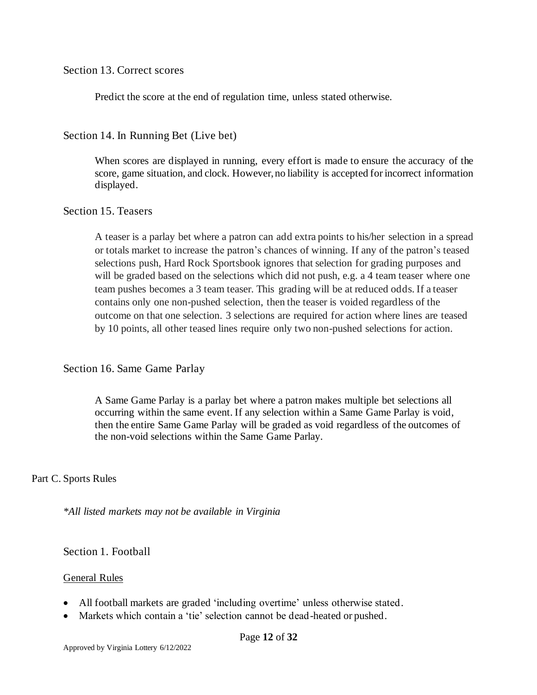<span id="page-11-0"></span>Section 13. Correct scores

Predict the score at the end of regulation time, unless stated otherwise.

<span id="page-11-1"></span>Section 14. In Running Bet (Live bet)

When scores are displayed in running, every effort is made to ensure the accuracy of the score, game situation, and clock. However, no liability is accepted for incorrect information displayed.

#### <span id="page-11-2"></span>Section 15. Teasers

A teaser is a parlay bet where a patron can add extra points to his/her selection in a spread or totals market to increase the patron's chances of winning. If any of the patron's teased selections push, Hard Rock Sportsbook ignores that selection for grading purposes and will be graded based on the selections which did not push, e.g. a 4 team teaser where one team pushes becomes a 3 team teaser. This grading will be at reduced odds. If a teaser contains only one non-pushed selection, then the teaser is voided regardless of the outcome on that one selection. 3 selections are required for action where lines are teased by 10 points, all other teased lines require only two non-pushed selections for action.

# <span id="page-11-3"></span>Section 16. Same Game Parlay

A Same Game Parlay is a parlay bet where a patron makes multiple bet selections all occurring within the same event. If any selection within a Same Game Parlay is void, then the entire Same Game Parlay will be graded as void regardless of the outcomes of the non-void selections within the Same Game Parlay.

#### <span id="page-11-4"></span>Part C. Sports Rules

*\*All listed markets may not be available in Virginia*

<span id="page-11-5"></span>Section 1. Football

#### General Rules

- All football markets are graded 'including overtime' unless otherwise stated.
- Markets which contain a 'tie' selection cannot be dead-heated or pushed.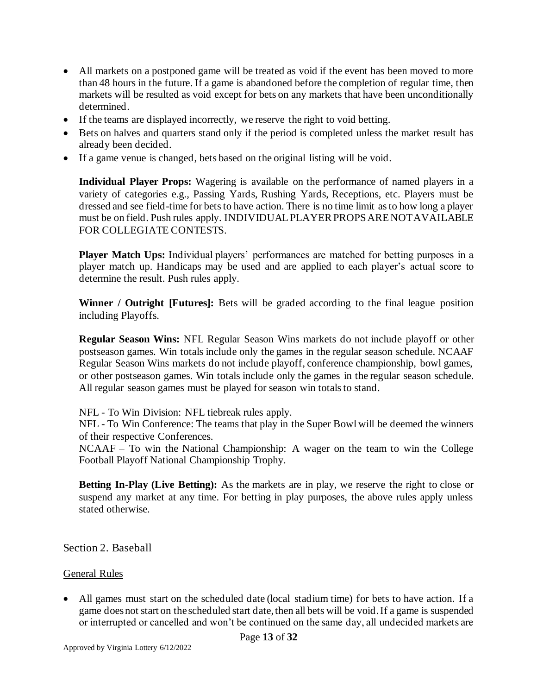- All markets on a postponed game will be treated as void if the event has been moved to more than 48 hours in the future. If a game is abandoned before the completion of regular time, then markets will be resulted as void except for bets on any markets that have been unconditionally determined.
- If the teams are displayed incorrectly, we reserve the right to void betting.
- Bets on halves and quarters stand only if the period is completed unless the market result has already been decided.
- If a game venue is changed, bets based on the original listing will be void.

**Individual Player Props:** Wagering is available on the performance of named players in a variety of categories e.g., Passing Yards, Rushing Yards, Receptions, etc. Players must be dressed and see field-time for bets to have action. There is no time limit as to how long a player must be on field. Push rules apply. INDIVIDUAL PLAYER PROPS ARE NOT AVAILABLE FOR COLLEGIATE CONTESTS.

**Player Match Ups:** Individual players' performances are matched for betting purposes in a player match up. Handicaps may be used and are applied to each player's actual score to determine the result. Push rules apply.

**Winner / Outright [Futures]:** Bets will be graded according to the final league position including Playoffs.

**Regular Season Wins:** NFL Regular Season Wins markets do not include playoff or other postseason games. Win totals include only the games in the regular season schedule. NCAAF Regular Season Wins markets do not include playoff, conference championship, bowl games, or other postseason games. Win totals include only the games in the regular season schedule. All regular season games must be played for season win totals to stand.

NFL - To Win Division: NFL tiebreak rules apply.

NFL - To Win Conference: The teams that play in the Super Bowl will be deemed the winners of their respective Conferences.

NCAAF – To win the National Championship: A wager on the team to win the College Football Playoff National Championship Trophy.

**Betting In-Play (Live Betting):** As the markets are in play, we reserve the right to close or suspend any market at any time. For betting in play purposes, the above rules apply unless stated otherwise.

<span id="page-12-0"></span>Section 2. Baseball

#### General Rules

All games must start on the scheduled date (local stadium time) for bets to have action. If a game does not start on the scheduled start date, then all bets will be void. If a game is suspended or interrupted or cancelled and won't be continued on the same day, all undecided markets are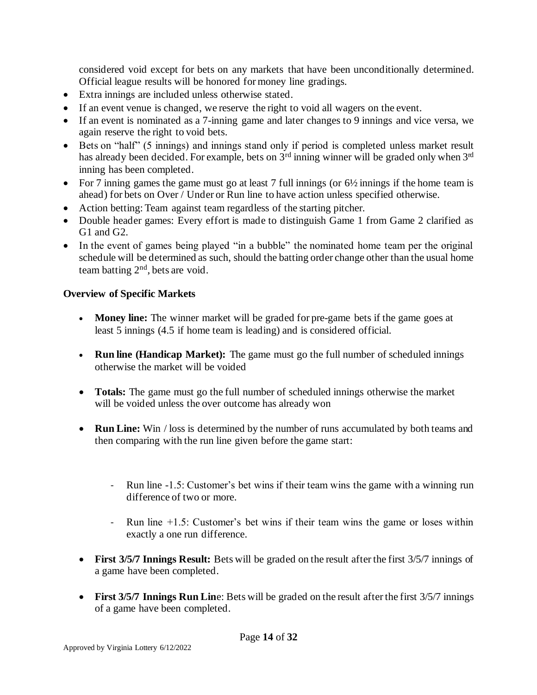considered void except for bets on any markets that have been unconditionally determined. Official league results will be honored for money line gradings.

- Extra innings are included unless otherwise stated.
- If an event venue is changed, we reserve the right to void all wagers on the event.
- If an event is nominated as a 7-inning game and later changes to 9 innings and vice versa, we again reserve the right to void bets.
- Bets on "half" (5 innings) and innings stand only if period is completed unless market result has already been decided. For example, bets on 3<sup>rd</sup> inning winner will be graded only when 3<sup>rd</sup> inning has been completed.
- For 7 inning games the game must go at least 7 full innings (or  $6\frac{1}{2}$  innings if the home team is ahead) for bets on Over / Under or Run line to have action unless specified otherwise.
- Action betting: Team against team regardless of the starting pitcher.
- Double header games: Every effort is made to distinguish Game 1 from Game 2 clarified as G1 and G2.
- In the event of games being played "in a bubble" the nominated home team per the original schedule will be determined as such, should the batting order change other than the usual home team batting 2nd, bets are void.

# **Overview of Specific Markets**

- **Money line:** The winner market will be graded for pre-game bets if the game goes at least 5 innings (4.5 if home team is leading) and is considered official.
- **Run line (Handicap Market):** The game must go the full number of scheduled innings otherwise the market will be voided
- **Totals:** The game must go the full number of scheduled innings otherwise the market will be voided unless the over outcome has already won
- **Run Line:** Win / loss is determined by the number of runs accumulated by both teams and then comparing with the run line given before the game start:
	- Run line -1.5: Customer's bet wins if their team wins the game with a winning run difference of two or more.
	- Run line +1.5: Customer's bet wins if their team wins the game or loses within exactly a one run difference.
- **First 3/5/7 Innings Result:** Bets will be graded on the result after the first 3/5/7 innings of a game have been completed.
- **First 3/5/7 Innings Run Lin**e: Bets will be graded on the result after the first 3/5/7 innings of a game have been completed.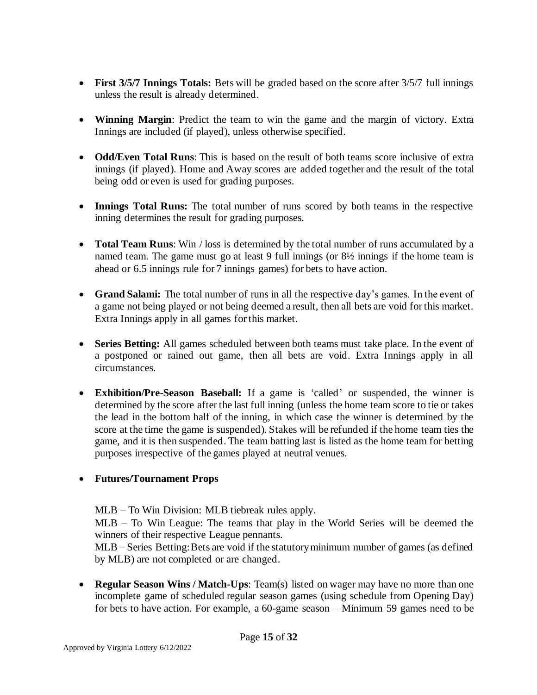- **First 3/5/7 Innings Totals:** Bets will be graded based on the score after 3/5/7 full innings unless the result is already determined.
- **Winning Margin**: Predict the team to win the game and the margin of victory. Extra Innings are included (if played), unless otherwise specified.
- **Odd/Even Total Runs**: This is based on the result of both teams score inclusive of extra innings (if played). Home and Away scores are added together and the result of the total being odd or even is used for grading purposes.
- **Innings Total Runs:** The total number of runs scored by both teams in the respective inning determines the result for grading purposes.
- **Total Team Runs**: Win / loss is determined by the total number of runs accumulated by a named team. The game must go at least 9 full innings (or 8½ innings if the home team is ahead or 6.5 innings rule for 7 innings games) for bets to have action.
- **Grand Salami:** The total number of runs in all the respective day's games. In the event of a game not being played or not being deemed a result, then all bets are void for this market. Extra Innings apply in all games for this market.
- **Series Betting:** All games scheduled between both teams must take place. In the event of a postponed or rained out game, then all bets are void. Extra Innings apply in all circumstances.
- **Exhibition/Pre-Season Baseball:** If a game is 'called' or suspended, the winner is determined by the score after the last full inning (unless the home team score to tie or takes the lead in the bottom half of the inning, in which case the winner is determined by the score at the time the game is suspended). Stakes will be refunded if the home team ties the game, and it is then suspended. The team batting last is listed as the home team for betting purposes irrespective of the games played at neutral venues.

# • **Futures/Tournament Props**

MLB – To Win Division: MLB tiebreak rules apply.

MLB – To Win League: The teams that play in the World Series will be deemed the winners of their respective League pennants.

MLB – Series Betting: Bets are void if the statutory minimum number of games (as defined by MLB) are not completed or are changed.

• **Regular Season Wins / Match-Ups**: Team(s) listed on wager may have no more than one incomplete game of scheduled regular season games (using schedule from Opening Day) for bets to have action. For example, a 60-game season – Minimum 59 games need to be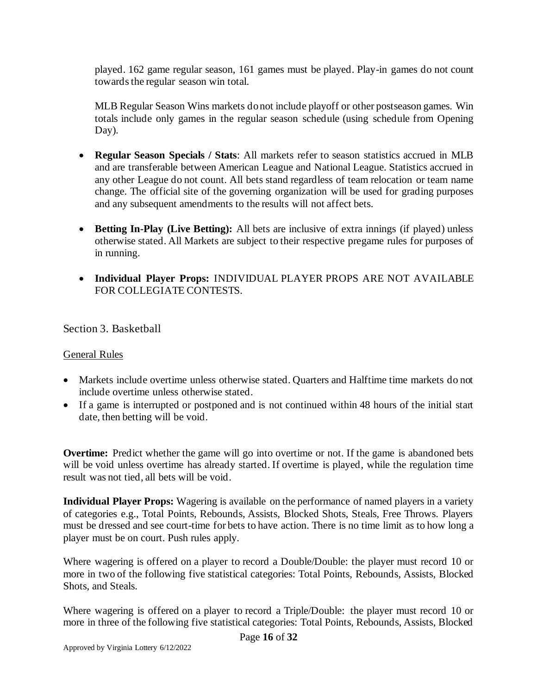played. 162 game regular season, 161 games must be played. Play-in games do not count towards the regular season win total.

MLB Regular Season Wins markets do not include playoff or other postseason games. Win totals include only games in the regular season schedule (using schedule from Opening Day).

- **Regular Season Specials / Stats**: All markets refer to season statistics accrued in MLB and are transferable between American League and National League. Statistics accrued in any other League do not count. All bets stand regardless of team relocation or team name change. The official site of the governing organization will be used for grading purposes and any subsequent amendments to the results will not affect bets.
- **Betting In-Play (Live Betting):** All bets are inclusive of extra innings (if played) unless otherwise stated. All Markets are subject to their respective pregame rules for purposes of in running.
- **Individual Player Props:** INDIVIDUAL PLAYER PROPS ARE NOT AVAILABLE FOR COLLEGIATE CONTESTS.

<span id="page-15-0"></span>Section 3. Basketball

#### General Rules

- Markets include overtime unless otherwise stated. Quarters and Halftime time markets do not include overtime unless otherwise stated.
- If a game is interrupted or postponed and is not continued within 48 hours of the initial start date, then betting will be void.

**Overtime:** Predict whether the game will go into overtime or not. If the game is abandoned bets will be void unless overtime has already started. If overtime is played, while the regulation time result was not tied, all bets will be void.

**Individual Player Props:** Wagering is available on the performance of named players in a variety of categories e.g., Total Points, Rebounds, Assists, Blocked Shots, Steals, Free Throws. Players must be dressed and see court-time for bets to have action. There is no time limit as to how long a player must be on court. Push rules apply.

Where wagering is offered on a player to record a Double/Double: the player must record 10 or more in two of the following five statistical categories: Total Points, Rebounds, Assists, Blocked Shots, and Steals.

Where wagering is offered on a player to record a Triple/Double: the player must record 10 or more in three of the following five statistical categories: Total Points, Rebounds, Assists, Blocked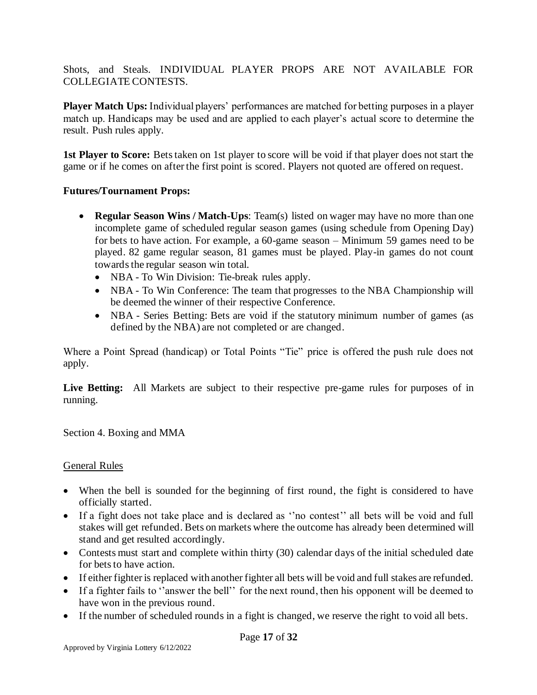Shots, and Steals. INDIVIDUAL PLAYER PROPS ARE NOT AVAILABLE FOR COLLEGIATE CONTESTS.

**Player Match Ups:** Individual players' performances are matched for betting purposes in a player match up. Handicaps may be used and are applied to each player's actual score to determine the result. Push rules apply.

**1st Player to Score:** Bets taken on 1st player to score will be void if that player does not start the game or if he comes on after the first point is scored. Players not quoted are offered on request.

# **Futures/Tournament Props:**

- **Regular Season Wins / Match-Ups**: Team(s) listed on wager may have no more than one incomplete game of scheduled regular season games (using schedule from Opening Day) for bets to have action. For example, a 60-game season – Minimum 59 games need to be played. 82 game regular season, 81 games must be played. Play-in games do not count towards the regular season win total.
	- NBA To Win Division: Tie-break rules apply.
	- NBA To Win Conference: The team that progresses to the NBA Championship will be deemed the winner of their respective Conference.
	- NBA Series Betting: Bets are void if the statutory minimum number of games (as defined by the NBA) are not completed or are changed.

Where a Point Spread (handicap) or Total Points "Tie" price is offered the push rule does not apply.

Live Betting: All Markets are subject to their respective pre-game rules for purposes of in running.

<span id="page-16-0"></span>Section 4. Boxing and MMA

# General Rules

- When the bell is sounded for the beginning of first round, the fight is considered to have officially started.
- If a fight does not take place and is declared as ''no contest'' all bets will be void and full stakes will get refunded. Bets on markets where the outcome has already been determined will stand and get resulted accordingly.
- Contests must start and complete within thirty (30) calendar days of the initial scheduled date for bets to have action.
- If either fighter is replaced with another fighter all bets will be void and full stakes are refunded.
- If a fighter fails to "answer the bell" for the next round, then his opponent will be deemed to have won in the previous round.
- If the number of scheduled rounds in a fight is changed, we reserve the right to void all bets.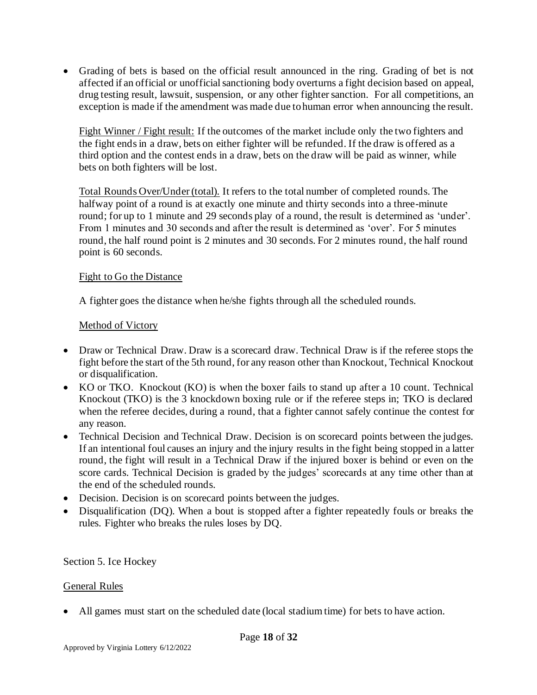• Grading of bets is based on the official result announced in the ring. Grading of bet is not affected if an official or unofficial sanctioning body overturns a fight decision based on appeal, drug testing result, lawsuit, suspension, or any other fighter sanction. For all competitions, an exception is made if the amendment was made due to human error when announcing the result.

Fight Winner / Fight result: If the outcomes of the market include only the two fighters and the fight ends in a draw, bets on either fighter will be refunded. If the draw is offered as a third option and the contest ends in a draw, bets on the draw will be paid as winner, while bets on both fighters will be lost.

Total Rounds Over/Under (total). It refers to the total number of completed rounds. The halfway point of a round is at exactly one minute and thirty seconds into a three-minute round; for up to 1 minute and 29 seconds play of a round, the result is determined as 'under'. From 1 minutes and 30 seconds and after the result is determined as 'over'. For 5 minutes round, the half round point is 2 minutes and 30 seconds. For 2 minutes round, the half round point is 60 seconds.

#### Fight to Go the Distance

A fighter goes the distance when he/she fights through all the scheduled rounds.

#### Method of Victory

- Draw or Technical Draw. Draw is a scorecard draw. Technical Draw is if the referee stops the fight before the start of the 5th round, for any reason other than Knockout, Technical Knockout or disqualification.
- KO or TKO. Knockout (KO) is when the boxer fails to stand up after a 10 count. Technical Knockout (TKO) is the 3 knockdown boxing rule or if the referee steps in; TKO is declared when the referee decides, during a round, that a fighter cannot safely continue the contest for any reason.
- Technical Decision and Technical Draw. Decision is on scorecard points between the judges. If an intentional foul causes an injury and the injury results in the fight being stopped in a latter round, the fight will result in a Technical Draw if the injured boxer is behind or even on the score cards. Technical Decision is graded by the judges' scorecards at any time other than at the end of the scheduled rounds.
- Decision. Decision is on scorecard points between the judges.
- Disqualification (DQ). When a bout is stopped after a fighter repeatedly fouls or breaks the rules. Fighter who breaks the rules loses by DQ.

<span id="page-17-0"></span>Section 5. Ice Hockey

# General Rules

• All games must start on the scheduled date (local stadium time) for bets to have action.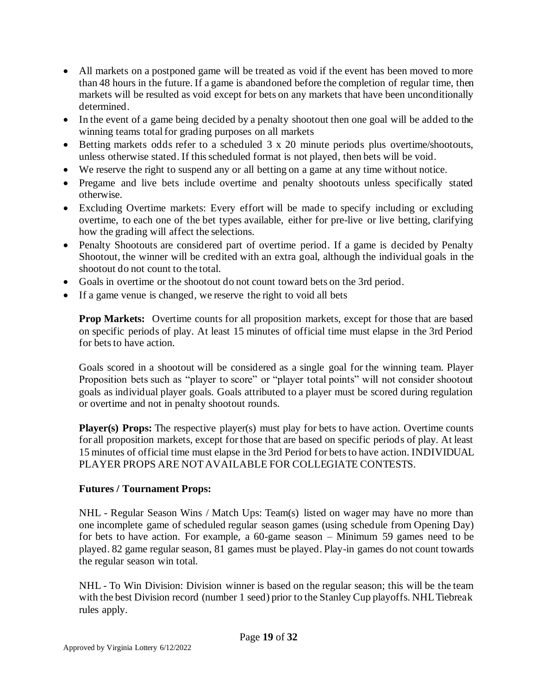- All markets on a postponed game will be treated as void if the event has been moved to more than 48 hours in the future. If a game is abandoned before the completion of regular time, then markets will be resulted as void except for bets on any markets that have been unconditionally determined.
- In the event of a game being decided by a penalty shootout then one goal will be added to the winning teams total for grading purposes on all markets
- Betting markets odds refer to a scheduled 3 x 20 minute periods plus overtime/shootouts, unless otherwise stated. If this scheduled format is not played, then bets will be void.
- We reserve the right to suspend any or all betting on a game at any time without notice.
- Pregame and live bets include overtime and penalty shootouts unless specifically stated otherwise.
- Excluding Overtime markets: Every effort will be made to specify including or excluding overtime, to each one of the bet types available, either for pre-live or live betting, clarifying how the grading will affect the selections.
- Penalty Shootouts are considered part of overtime period. If a game is decided by Penalty Shootout, the winner will be credited with an extra goal, although the individual goals in the shootout do not count to the total.
- Goals in overtime or the shootout do not count toward bets on the 3rd period.
- If a game venue is changed, we reserve the right to void all bets

**Prop Markets:** Overtime counts for all proposition markets, except for those that are based on specific periods of play. At least 15 minutes of official time must elapse in the 3rd Period for bets to have action.

Goals scored in a shootout will be considered as a single goal for the winning team. Player Proposition bets such as "player to score" or "player total points" will not consider shootout goals as individual player goals. Goals attributed to a player must be scored during regulation or overtime and not in penalty shootout rounds.

Player(s) Props: The respective player(s) must play for bets to have action. Overtime counts for all proposition markets, except for those that are based on specific periods of play. At least 15 minutes of official time must elapse in the 3rd Period for bets to have action. INDIVIDUAL PLAYER PROPS ARE NOT AVAILABLE FOR COLLEGIATE CONTESTS.

# **Futures / Tournament Props:**

NHL - Regular Season Wins / Match Ups: Team(s) listed on wager may have no more than one incomplete game of scheduled regular season games (using schedule from Opening Day) for bets to have action. For example, a 60-game season – Minimum 59 games need to be played. 82 game regular season, 81 games must be played. Play-in games do not count towards the regular season win total.

NHL - To Win Division: Division winner is based on the regular season; this will be the team with the best Division record (number 1 seed) prior to the Stanley Cup playoffs. NHL Tiebreak rules apply.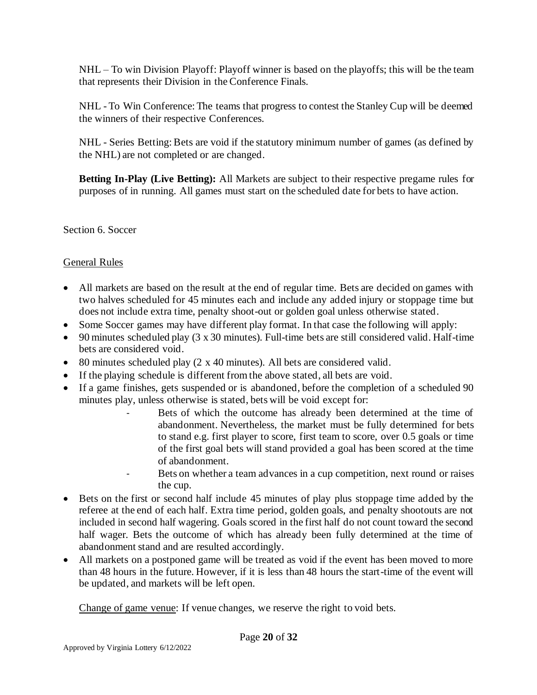NHL – To win Division Playoff: Playoff winner is based on the playoffs; this will be the team that represents their Division in the Conference Finals.

NHL - To Win Conference: The teams that progress to contest the Stanley Cup will be deemed the winners of their respective Conferences.

NHL - Series Betting: Bets are void if the statutory minimum number of games (as defined by the NHL) are not completed or are changed.

**Betting In-Play (Live Betting):** All Markets are subject to their respective pregame rules for purposes of in running. All games must start on the scheduled date for bets to have action.

<span id="page-19-0"></span>Section 6. Soccer

# General Rules

- All markets are based on the result at the end of regular time. Bets are decided on games with two halves scheduled for 45 minutes each and include any added injury or stoppage time but does not include extra time, penalty shoot-out or golden goal unless otherwise stated.
- Some Soccer games may have different play format. In that case the following will apply:
- 90 minutes scheduled play (3 x 30 minutes). Full-time bets are still considered valid. Half-time bets are considered void.
- 80 minutes scheduled play (2 x 40 minutes). All bets are considered valid.
- If the playing schedule is different from the above stated, all bets are void.
- If a game finishes, gets suspended or is abandoned, before the completion of a scheduled 90 minutes play, unless otherwise is stated, bets will be void except for:
	- Bets of which the outcome has already been determined at the time of abandonment. Nevertheless, the market must be fully determined for bets to stand e.g. first player to score, first team to score, over 0.5 goals or time of the first goal bets will stand provided a goal has been scored at the time of abandonment.
	- Bets on whether a team advances in a cup competition, next round or raises the cup.
- Bets on the first or second half include 45 minutes of play plus stoppage time added by the referee at the end of each half. Extra time period, golden goals, and penalty shootouts are not included in second half wagering. Goals scored in the first half do not count toward the second half wager. Bets the outcome of which has already been fully determined at the time of abandonment stand and are resulted accordingly.
- All markets on a postponed game will be treated as void if the event has been moved to more than 48 hours in the future. However, if it is less than 48 hours the start-time of the event will be updated, and markets will be left open.

Change of game venue: If venue changes, we reserve the right to void bets.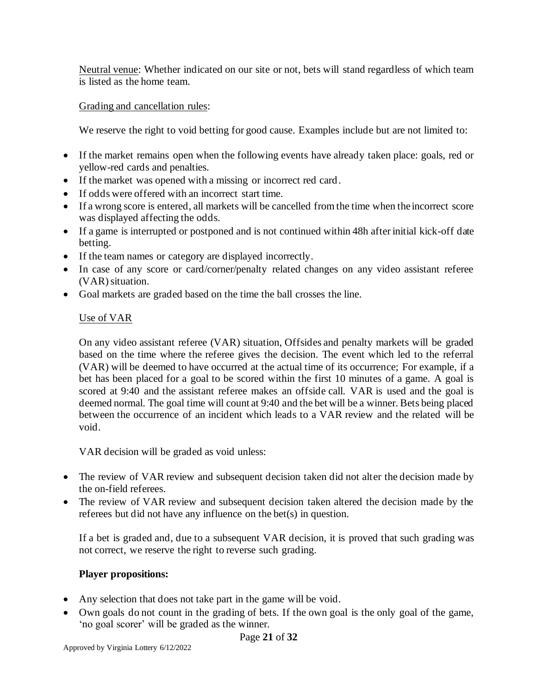Neutral venue: Whether indicated on our site or not, bets will stand regardless of which team is listed as the home team.

## Grading and cancellation rules:

We reserve the right to void betting for good cause. Examples include but are not limited to:

- If the market remains open when the following events have already taken place: goals, red or yellow-red cards and penalties.
- If the market was opened with a missing or incorrect red card.
- If odds were offered with an incorrect start time.
- If a wrong score is entered, all markets will be cancelled from the time when the incorrect score was displayed affecting the odds.
- If a game is interrupted or postponed and is not continued within 48h after initial kick-off date betting.
- If the team names or category are displayed incorrectly.
- In case of any score or card/corner/penalty related changes on any video assistant referee (VAR) situation.
- Goal markets are graded based on the time the ball crosses the line.

# Use of VAR

On any video assistant referee (VAR) situation, Offsides and penalty markets will be graded based on the time where the referee gives the decision. The event which led to the referral (VAR) will be deemed to have occurred at the actual time of its occurrence; For example, if a bet has been placed for a goal to be scored within the first 10 minutes of a game. A goal is scored at 9:40 and the assistant referee makes an offside call. VAR is used and the goal is deemed normal. The goal time will count at 9:40 and the bet will be a winner. Bets being placed between the occurrence of an incident which leads to a VAR review and the related will be void.

VAR decision will be graded as void unless:

- The review of VAR review and subsequent decision taken did not alter the decision made by the on-field referees.
- The review of VAR review and subsequent decision taken altered the decision made by the referees but did not have any influence on the bet(s) in question.

If a bet is graded and, due to a subsequent VAR decision, it is proved that such grading was not correct, we reserve the right to reverse such grading.

# **Player propositions:**

- Any selection that does not take part in the game will be void.
- Own goals do not count in the grading of bets. If the own goal is the only goal of the game, 'no goal scorer' will be graded as the winner.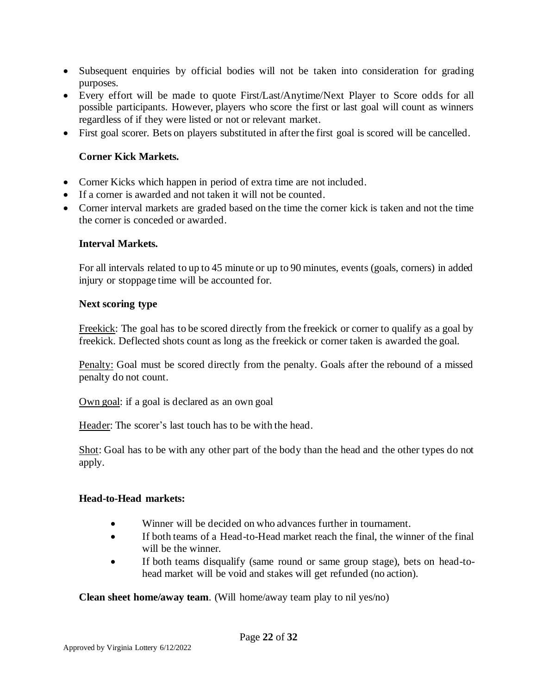- Subsequent enquiries by official bodies will not be taken into consideration for grading purposes.
- Every effort will be made to quote First/Last/Anytime/Next Player to Score odds for all possible participants. However, players who score the first or last goal will count as winners regardless of if they were listed or not or relevant market.
- First goal scorer. Bets on players substituted in after the first goal is scored will be cancelled.

# **Corner Kick Markets.**

- Corner Kicks which happen in period of extra time are not included.
- If a corner is awarded and not taken it will not be counted.
- Corner interval markets are graded based on the time the corner kick is taken and not the time the corner is conceded or awarded.

# **Interval Markets.**

For all intervals related to up to 45 minute or up to 90 minutes, events (goals, corners) in added injury or stoppage time will be accounted for.

#### **Next scoring type**

Freekick: The goal has to be scored directly from the freekick or corner to qualify as a goal by freekick. Deflected shots count as long as the freekick or corner taken is awarded the goal.

Penalty: Goal must be scored directly from the penalty. Goals after the rebound of a missed penalty do not count.

Own goal: if a goal is declared as an own goal

Header: The scorer's last touch has to be with the head.

Shot: Goal has to be with any other part of the body than the head and the other types do not apply.

#### **Head-to-Head markets:**

- Winner will be decided on who advances further in tournament.
- If both teams of a Head-to-Head market reach the final, the winner of the final will be the winner.
- If both teams disqualify (same round or same group stage), bets on head-tohead market will be void and stakes will get refunded (no action).

**Clean sheet home/away team**. (Will home/away team play to nil yes/no)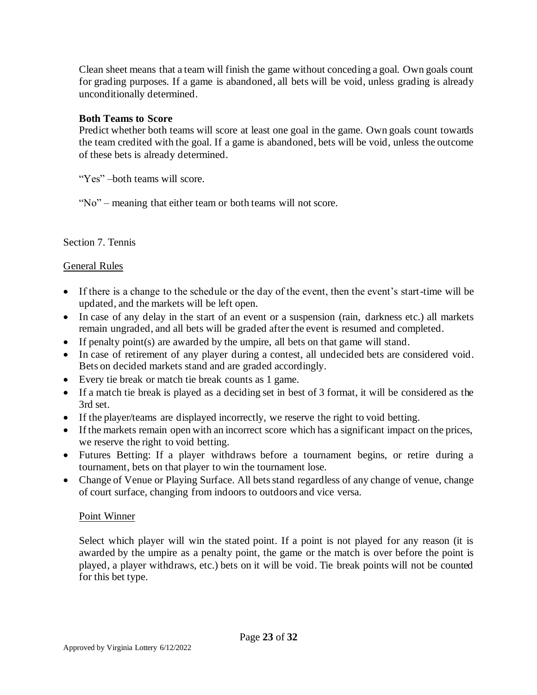Clean sheet means that a team will finish the game without conceding a goal. Own goals count for grading purposes. If a game is abandoned, all bets will be void, unless grading is already unconditionally determined.

## **Both Teams to Score**

Predict whether both teams will score at least one goal in the game. Own goals count towards the team credited with the goal. If a game is abandoned, bets will be void, unless the outcome of these bets is already determined.

"Yes" – both teams will score.

"No" – meaning that either team or both teams will not score.

#### <span id="page-22-0"></span>Section 7. Tennis

#### General Rules

- If there is a change to the schedule or the day of the event, then the event's start-time will be updated, and the markets will be left open.
- In case of any delay in the start of an event or a suspension (rain, darkness etc.) all markets remain ungraded, and all bets will be graded after the event is resumed and completed.
- If penalty point(s) are awarded by the umpire, all bets on that game will stand.
- In case of retirement of any player during a contest, all undecided bets are considered void. Bets on decided markets stand and are graded accordingly.
- Every tie break or match tie break counts as 1 game.
- If a match tie break is played as a deciding set in best of 3 format, it will be considered as the 3rd set.
- If the player/teams are displayed incorrectly, we reserve the right to void betting.
- If the markets remain open with an incorrect score which has a significant impact on the prices, we reserve the right to void betting.
- Futures Betting: If a player withdraws before a tournament begins, or retire during a tournament, bets on that player to win the tournament lose.
- Change of Venue or Playing Surface. All bets stand regardless of any change of venue, change of court surface, changing from indoors to outdoors and vice versa.

#### Point Winner

Select which player will win the stated point. If a point is not played for any reason (it is awarded by the umpire as a penalty point, the game or the match is over before the point is played, a player withdraws, etc.) bets on it will be void. Tie break points will not be counted for this bet type.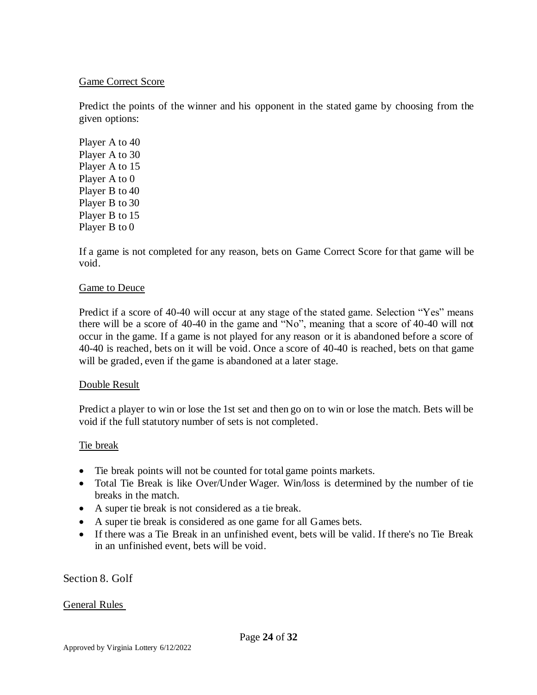#### Game Correct Score

Predict the points of the winner and his opponent in the stated game by choosing from the given options:

Player A to 40 Player A to 30 Player A to 15 Player A to 0 Player B to 40 Player B to 30 Player B to 15 Player B to 0

If a game is not completed for any reason, bets on Game Correct Score for that game will be void.

#### Game to Deuce

Predict if a score of 40-40 will occur at any stage of the stated game. Selection "Yes" means there will be a score of 40-40 in the game and "No", meaning that a score of 40-40 will not occur in the game. If a game is not played for any reason or it is abandoned before a score of 40-40 is reached, bets on it will be void. Once a score of 40-40 is reached, bets on that game will be graded, even if the game is abandoned at a later stage.

#### Double Result

Predict a player to win or lose the 1st set and then go on to win or lose the match. Bets will be void if the full statutory number of sets is not completed.

#### Tie break

- Tie break points will not be counted for total game points markets.
- Total Tie Break is like Over/Under Wager. Win/loss is determined by the number of tie breaks in the match.
- A super tie break is not considered as a tie break.
- A super tie break is considered as one game for all Games bets.
- If there was a Tie Break in an unfinished event, bets will be valid. If there's no Tie Break in an unfinished event, bets will be void.

# <span id="page-23-0"></span>Section 8. Golf

# General Rules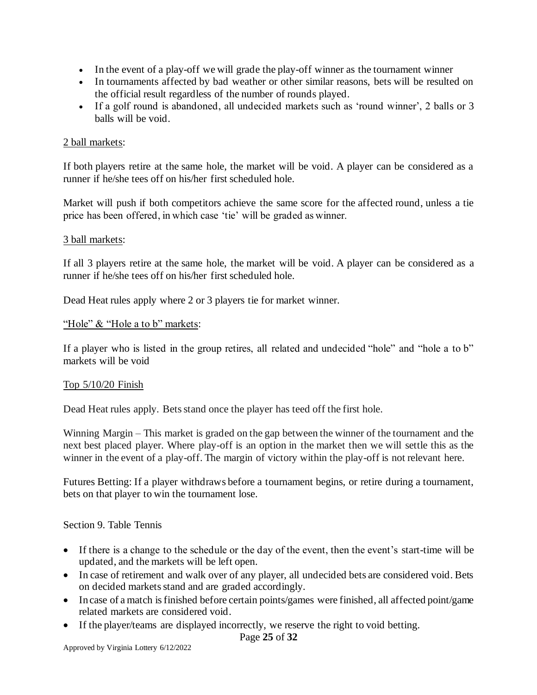- In the event of a play-off we will grade the play-off winner as the tournament winner
- In tournaments affected by bad weather or other similar reasons, bets will be resulted on the official result regardless of the number of rounds played.
- If a golf round is abandoned, all undecided markets such as 'round winner', 2 balls or 3 balls will be void.

#### 2 ball markets:

If both players retire at the same hole, the market will be void. A player can be considered as a runner if he/she tees off on his/her first scheduled hole.

Market will push if both competitors achieve the same score for the affected round, unless a tie price has been offered, in which case 'tie' will be graded as winner.

#### 3 ball markets:

If all 3 players retire at the same hole, the market will be void. A player can be considered as a runner if he/she tees off on his/her first scheduled hole.

Dead Heat rules apply where 2 or 3 players tie for market winner.

#### "Hole" & "Hole a to b" markets:

If a player who is listed in the group retires, all related and undecided "hole" and "hole a to b" markets will be void

#### Top 5/10/20 Finish

Dead Heat rules apply. Bets stand once the player has teed off the first hole.

Winning Margin – This market is graded on the gap between the winner of the tournament and the next best placed player. Where play-off is an option in the market then we will settle this as the winner in the event of a play-off. The margin of victory within the play-off is not relevant here.

Futures Betting: If a player withdraws before a tournament begins, or retire during a tournament, bets on that player to win the tournament lose.

#### <span id="page-24-0"></span>Section 9. Table Tennis

- If there is a change to the schedule or the day of the event, then the event's start-time will be updated, and the markets will be left open.
- In case of retirement and walk over of any player, all undecided bets are considered void. Bets on decided markets stand and are graded accordingly.
- In case of a match is finished before certain points/games were finished, all affected point/game related markets are considered void.
- If the player/teams are displayed incorrectly, we reserve the right to void betting.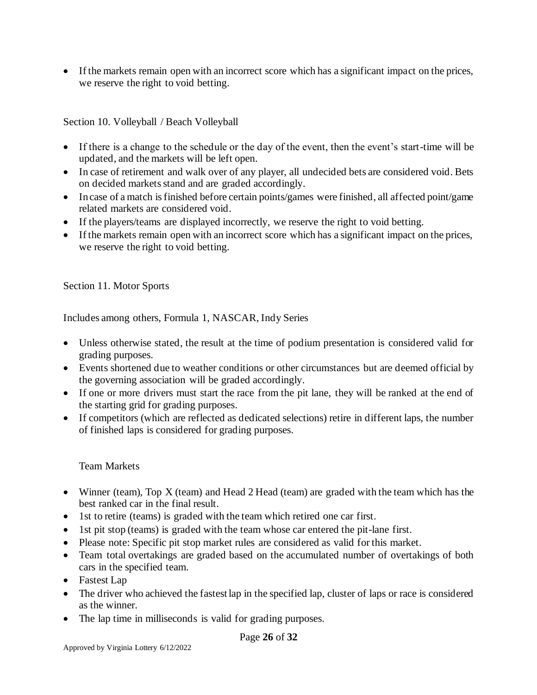• If the markets remain open with an incorrect score which has a significant impact on the prices, we reserve the right to void betting.

<span id="page-25-0"></span>Section 10. Volleyball / Beach Volleyball

- If there is a change to the schedule or the day of the event, then the event's start-time will be updated, and the markets will be left open.
- In case of retirement and walk over of any player, all undecided bets are considered void. Bets on decided markets stand and are graded accordingly.
- In case of a match is finished before certain points/games were finished, all affected point/game related markets are considered void.
- If the players/teams are displayed incorrectly, we reserve the right to void betting.
- If the markets remain open with an incorrect score which has a significant impact on the prices, we reserve the right to void betting.

<span id="page-25-1"></span>Section 11. Motor Sports

Includes among others, Formula 1, NASCAR, Indy Series

- Unless otherwise stated, the result at the time of podium presentation is considered valid for grading purposes.
- Events shortened due to weather conditions or other circumstances but are deemed official by the governing association will be graded accordingly.
- If one or more drivers must start the race from the pit lane, they will be ranked at the end of the starting grid for grading purposes.
- If competitors (which are reflected as dedicated selections) retire in different laps, the number of finished laps is considered for grading purposes.

# Team Markets

- Winner (team), Top X (team) and Head 2 Head (team) are graded with the team which has the best ranked car in the final result.
- 1st to retire (teams) is graded with the team which retired one car first.
- 1st pit stop (teams) is graded with the team whose car entered the pit-lane first.
- Please note: Specific pit stop market rules are considered as valid for this market.
- Team total overtakings are graded based on the accumulated number of overtakings of both cars in the specified team.
- Fastest Lap
- The driver who achieved the fastest lap in the specified lap, cluster of laps or race is considered as the winner.
- The lap time in milliseconds is valid for grading purposes.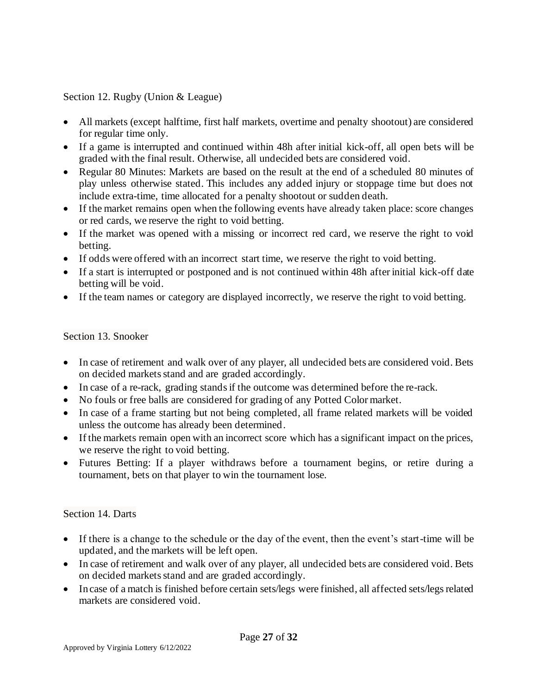<span id="page-26-0"></span>Section 12. Rugby (Union & League)

- All markets (except halftime, first half markets, overtime and penalty shootout) are considered for regular time only.
- If a game is interrupted and continued within 48h after initial kick-off, all open bets will be graded with the final result. Otherwise, all undecided bets are considered void.
- Regular 80 Minutes: Markets are based on the result at the end of a scheduled 80 minutes of play unless otherwise stated. This includes any added injury or stoppage time but does not include extra-time, time allocated for a penalty shootout or sudden death.
- If the market remains open when the following events have already taken place: score changes or red cards, we reserve the right to void betting.
- If the market was opened with a missing or incorrect red card, we reserve the right to void betting.
- If odds were offered with an incorrect start time, we reserve the right to void betting.
- If a start is interrupted or postponed and is not continued within 48h after initial kick-off date betting will be void.
- If the team names or category are displayed incorrectly, we reserve the right to void betting.

# <span id="page-26-1"></span>Section 13. Snooker

- In case of retirement and walk over of any player, all undecided bets are considered void. Bets on decided markets stand and are graded accordingly.
- In case of a re-rack, grading stands if the outcome was determined before the re-rack.
- No fouls or free balls are considered for grading of any Potted Color market.
- In case of a frame starting but not being completed, all frame related markets will be voided unless the outcome has already been determined.
- If the markets remain open with an incorrect score which has a significant impact on the prices, we reserve the right to void betting.
- Futures Betting: If a player withdraws before a tournament begins, or retire during a tournament, bets on that player to win the tournament lose.

# <span id="page-26-2"></span>Section 14. Darts

- If there is a change to the schedule or the day of the event, then the event's start-time will be updated, and the markets will be left open.
- In case of retirement and walk over of any player, all undecided bets are considered void. Bets on decided markets stand and are graded accordingly.
- In case of a match is finished before certain sets/legs were finished, all affected sets/legs related markets are considered void.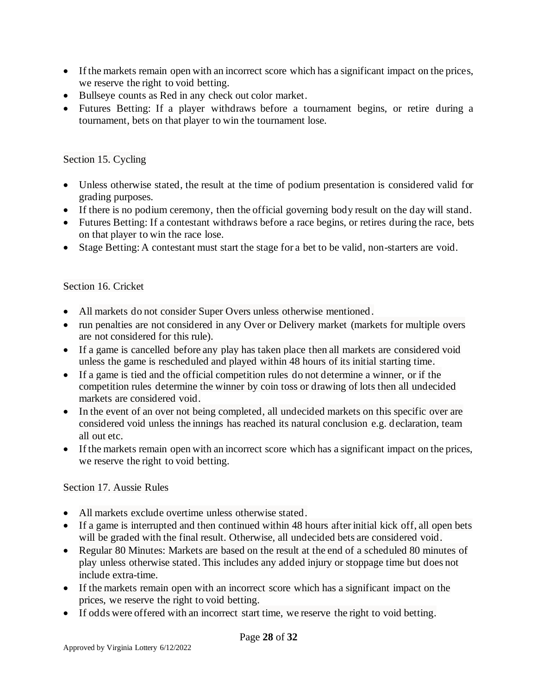- If the markets remain open with an incorrect score which has a significant impact on the prices, we reserve the right to void betting.
- Bullseye counts as Red in any check out color market.
- Futures Betting: If a player withdraws before a tournament begins, or retire during a tournament, bets on that player to win the tournament lose.

# <span id="page-27-0"></span>Section 15. Cycling

- Unless otherwise stated, the result at the time of podium presentation is considered valid for grading purposes.
- If there is no podium ceremony, then the official governing body result on the day will stand.
- Futures Betting: If a contestant withdraws before a race begins, or retires during the race, bets on that player to win the race lose.
- Stage Betting: A contestant must start the stage for a bet to be valid, non-starters are void.

# <span id="page-27-1"></span>Section 16. Cricket

- All markets do not consider Super Overs unless otherwise mentioned.
- run penalties are not considered in any Over or Delivery market (markets for multiple overs are not considered for this rule).
- If a game is cancelled before any play has taken place then all markets are considered void unless the game is rescheduled and played within 48 hours of its initial starting time.
- If a game is tied and the official competition rules do not determine a winner, or if the competition rules determine the winner by coin toss or drawing of lots then all undecided markets are considered void.
- In the event of an over not being completed, all undecided markets on this specific over are considered void unless the innings has reached its natural conclusion e.g. declaration, team all out etc.
- If the markets remain open with an incorrect score which has a significant impact on the prices, we reserve the right to void betting.

# <span id="page-27-2"></span>Section 17. Aussie Rules

- All markets exclude overtime unless otherwise stated.
- If a game is interrupted and then continued within 48 hours after initial kick off, all open bets will be graded with the final result. Otherwise, all undecided bets are considered void.
- Regular 80 Minutes: Markets are based on the result at the end of a scheduled 80 minutes of play unless otherwise stated. This includes any added injury or stoppage time but does not include extra-time.
- If the markets remain open with an incorrect score which has a significant impact on the prices, we reserve the right to void betting.
- If odds were offered with an incorrect start time, we reserve the right to void betting.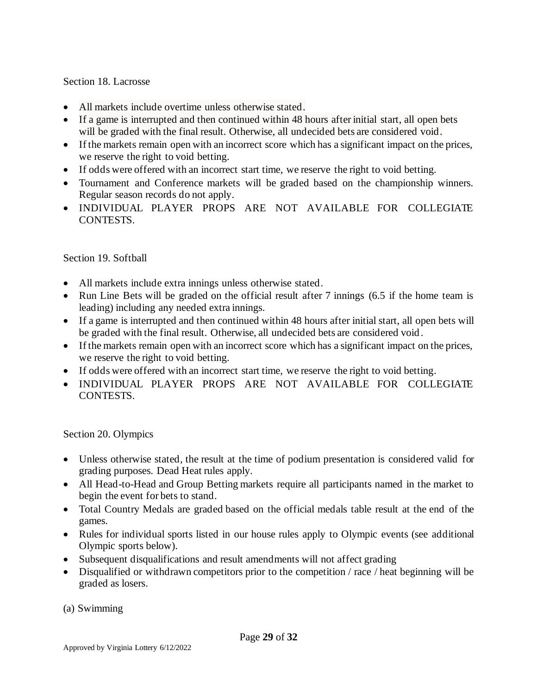#### <span id="page-28-0"></span>Section 18. Lacrosse

- All markets include overtime unless otherwise stated.
- If a game is interrupted and then continued within 48 hours after initial start, all open bets will be graded with the final result. Otherwise, all undecided bets are considered void.
- If the markets remain open with an incorrect score which has a significant impact on the prices, we reserve the right to void betting.
- If odds were offered with an incorrect start time, we reserve the right to void betting.
- Tournament and Conference markets will be graded based on the championship winners. Regular season records do not apply.
- INDIVIDUAL PLAYER PROPS ARE NOT AVAILABLE FOR COLLEGIATE CONTESTS.

#### <span id="page-28-1"></span>Section 19. Softball

- All markets include extra innings unless otherwise stated.
- Run Line Bets will be graded on the official result after 7 innings (6.5 if the home team is leading) including any needed extra innings.
- If a game is interrupted and then continued within 48 hours after initial start, all open bets will be graded with the final result. Otherwise, all undecided bets are considered void .
- If the markets remain open with an incorrect score which has a significant impact on the prices, we reserve the right to void betting.
- If odds were offered with an incorrect start time, we reserve the right to void betting.
- INDIVIDUAL PLAYER PROPS ARE NOT AVAILABLE FOR COLLEGIATE CONTESTS.

<span id="page-28-2"></span>Section 20. Olympics

- Unless otherwise stated, the result at the time of podium presentation is considered valid for grading purposes. Dead Heat rules apply.
- All Head-to-Head and Group Betting markets require all participants named in the market to begin the event for bets to stand.
- Total Country Medals are graded based on the official medals table result at the end of the games.
- Rules for individual sports listed in our house rules apply to Olympic events (see additional Olympic sports below).
- Subsequent disqualifications and result amendments will not affect grading
- Disqualified or withdrawn competitors prior to the competition / race / heat beginning will be graded as losers.

(a) Swimming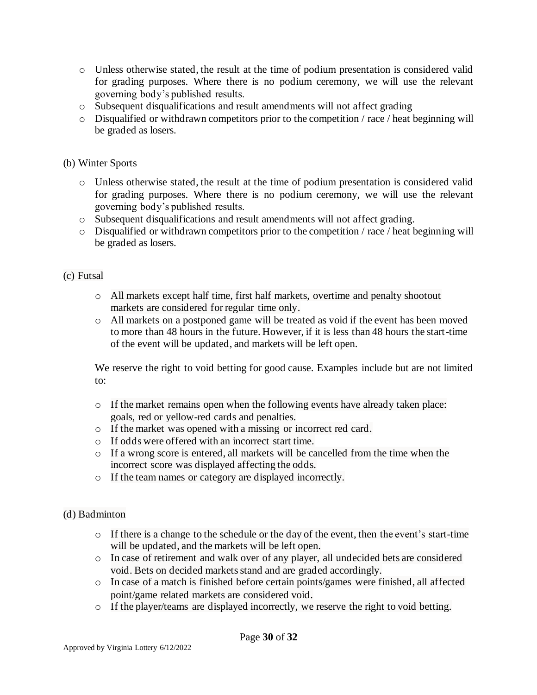- o Unless otherwise stated, the result at the time of podium presentation is considered valid for grading purposes. Where there is no podium ceremony, we will use the relevant governing body's published results.
- o Subsequent disqualifications and result amendments will not affect grading
- o Disqualified or withdrawn competitors prior to the competition / race / heat beginning will be graded as losers.

# (b) Winter Sports

- o Unless otherwise stated, the result at the time of podium presentation is considered valid for grading purposes. Where there is no podium ceremony, we will use the relevant governing body's published results.
- o Subsequent disqualifications and result amendments will not affect grading.
- o Disqualified or withdrawn competitors prior to the competition / race / heat beginning will be graded as losers.

# (c) Futsal

- o All markets except half time, first half markets, overtime and penalty shootout markets are considered for regular time only.
- o All markets on a postponed game will be treated as void if the event has been moved to more than 48 hours in the future. However, if it is less than 48 hours the start-time of the event will be updated, and markets will be left open.

We reserve the right to void betting for good cause. Examples include but are not limited to:

- o If the market remains open when the following events have already taken place: goals, red or yellow-red cards and penalties.
- o If the market was opened with a missing or incorrect red card.
- o If odds were offered with an incorrect start time.
- $\circ$  If a wrong score is entered, all markets will be cancelled from the time when the incorrect score was displayed affecting the odds.
- o If the team names or category are displayed incorrectly.

# (d) Badminton

- $\circ$  If there is a change to the schedule or the day of the event, then the event's start-time will be updated, and the markets will be left open.
- o In case of retirement and walk over of any player, all undecided bets are considered void. Bets on decided markets stand and are graded accordingly.
- o In case of a match is finished before certain points/games were finished, all affected point/game related markets are considered void.
- o If the player/teams are displayed incorrectly, we reserve the right to void betting.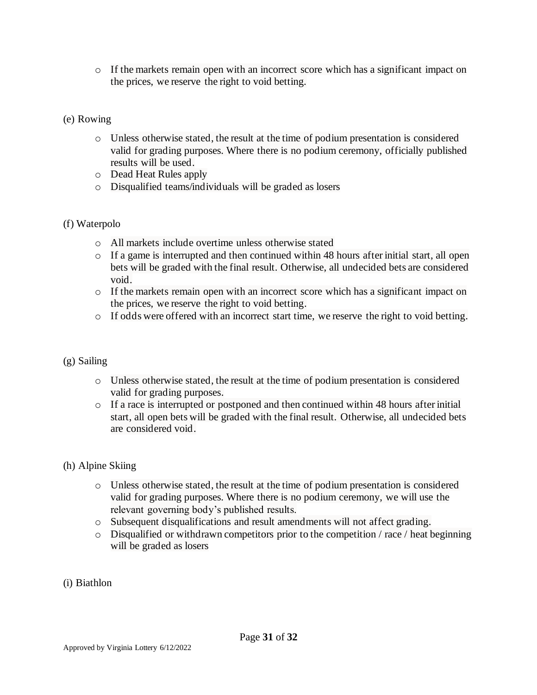o If the markets remain open with an incorrect score which has a significant impact on the prices, we reserve the right to void betting.

# (e) Rowing

- o Unless otherwise stated, the result at the time of podium presentation is considered valid for grading purposes. Where there is no podium ceremony, officially published results will be used.
- o Dead Heat Rules apply
- o Disqualified teams/individuals will be graded as losers

# (f) Waterpolo

- o All markets include overtime unless otherwise stated
- o If a game is interrupted and then continued within 48 hours after initial start, all open bets will be graded with the final result. Otherwise, all undecided bets are considered void.
- o If the markets remain open with an incorrect score which has a significant impact on the prices, we reserve the right to void betting.
- o If odds were offered with an incorrect start time, we reserve the right to void betting.

# (g) Sailing

- o Unless otherwise stated, the result at the time of podium presentation is considered valid for grading purposes.
- o If a race is interrupted or postponed and then continued within 48 hours after initial start, all open bets will be graded with the final result. Otherwise, all undecided bets are considered void.

# (h) Alpine Skiing

- o Unless otherwise stated, the result at the time of podium presentation is considered valid for grading purposes. Where there is no podium ceremony, we will use the relevant governing body's published results.
- o Subsequent disqualifications and result amendments will not affect grading.

Page **31** of **32**

- $\circ$  Disqualified or withdrawn competitors prior to the competition / race / heat beginning will be graded as losers
- (i) Biathlon